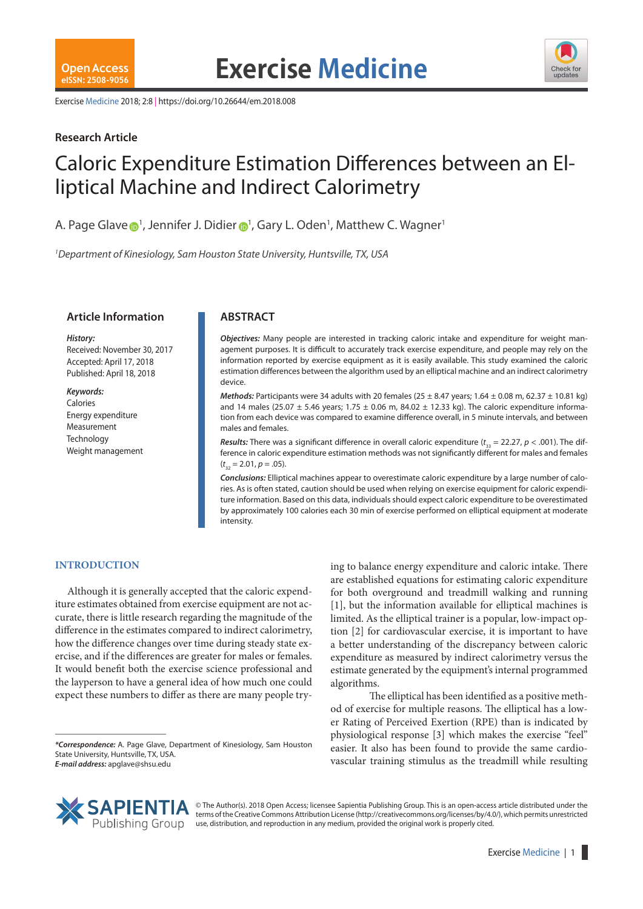

Exercise Medicine 2018; 2:8 | https://doi.org/10.26644/em.2018.008

# **Research Article**

# Caloric Expenditure Estimation Differences between an Elliptical Machine and Indirect Calorimetry

A. Page Glave  $\bigcirc$ <sup>1</sup>, Jennife[r](https://orcid.org/0000-0001-7630-9504) J. Didier  $\bigcirc$ <sup>1</sup>, Gary L. Oden<sup>1</sup>, Matthew C. Wagner<sup>1</sup>

*1 Department of Kinesiology, Sam Houston State University, Huntsville, TX, USA*

# **Article Information ABSTRACT**

#### *History:*

Received: November 30, 2017 Accepted: April 17, 2018 Published: April 18, 2018

#### *Keywords:*

Calories Energy expenditure Measurement **Technology** Weight management

*Objectives:* Many people are interested in tracking caloric intake and expenditure for weight management purposes. It is difficult to accurately track exercise expenditure, and people may rely on the information reported by exercise equipment as it is easily available. This study examined the caloric estimation differences between the algorithm used by an elliptical machine and an indirect calorimetry device.

*Methods:* Participants were 34 adults with 20 females ( $25 \pm 8.47$  years;  $1.64 \pm 0.08$  m,  $62.37 \pm 10.81$  kg) and 14 males (25.07  $\pm$  5.46 years; 1.75  $\pm$  0.06 m, 84.02  $\pm$  12.33 kg). The caloric expenditure information from each device was compared to examine difference overall, in 5 minute intervals, and between males and females.

*Results:* There was a significant difference in overall caloric expenditure ( $t_{33}$  = 22.27,  $p$  < .001). The difference in caloric expenditure estimation methods was not significantly different for males and females  $(t_{32} = 2.01, p = .05).$ 

*Conclusions:* Elliptical machines appear to overestimate caloric expenditure by a large number of calories. As is often stated, caution should be used when relying on exercise equipment for caloric expenditure information. Based on this data, individuals should expect caloric expenditure to be overestimated by approximately 100 calories each 30 min of exercise performed on elliptical equipment at moderate intensity.

# **INTRODUCTION**

Although it is generally accepted that the caloric expenditure estimates obtained from exercise equipment are not accurate, there is little research regarding the magnitude of the difference in the estimates compared to indirect calorimetry, how the difference changes over time during steady state exercise, and if the differences are greater for males or females. It would benefit both the exercise science professional and the layperson to have a general idea of how much one could expect these numbers to differ as there are many people trying to balance energy expenditure and caloric intake. There are established equations for estimating caloric expenditure for both overground and treadmill walking and running [1], but the information available for elliptical machines is limited. As the elliptical trainer is a popular, low-impact option [2] for cardiovascular exercise, it is important to have a better understanding of the discrepancy between caloric expenditure as measured by indirect calorimetry versus the estimate generated by the equipment's internal programmed algorithms.

The elliptical has been identified as a positive method of exercise for multiple reasons. The elliptical has a lower Rating of Perceived Exertion (RPE) than is indicated by physiological response [3] which makes the exercise "feel" easier. It also has been found to provide the same cardiovascular training stimulus as the treadmill while resulting



© The Author(s). 2018 Open Access; licensee Sapientia Publishing Group. This is an open-access article distributed under the terms of the Creative Commons Attribution License (http://creativecommons.org/licenses/by/4.0/), which permits unrestricted use, distribution, and reproduction in any medium, provided the original work is properly cited.

*<sup>\*</sup>Correspondence:* A. Page Glave, Department of Kinesiology, Sam Houston State University, Huntsville, TX, USA. *E-mail address:* apglave@shsu.edu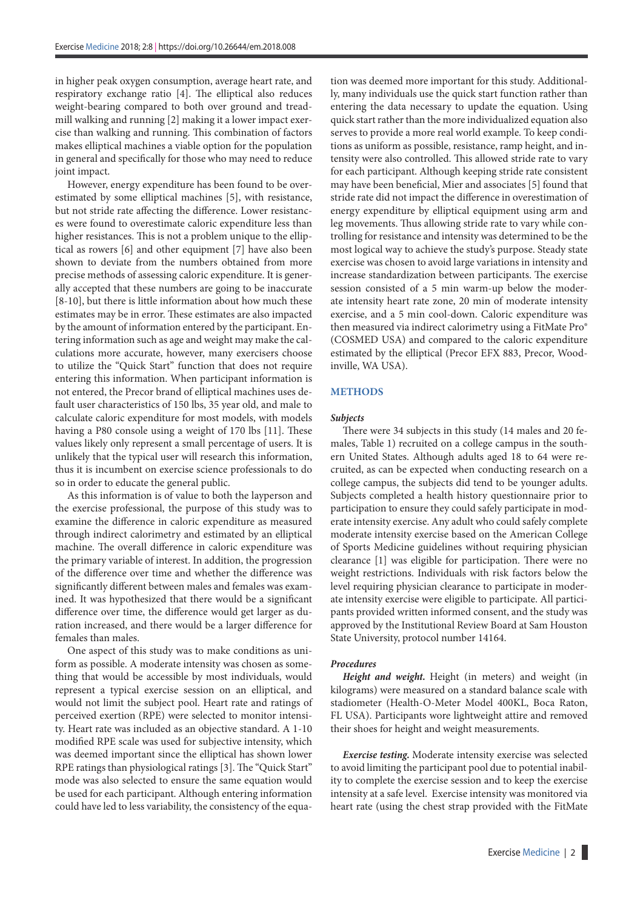in higher peak oxygen consumption, average heart rate, and respiratory exchange ratio [4]. The elliptical also reduces weight-bearing compared to both over ground and treadmill walking and running [2] making it a lower impact exercise than walking and running. This combination of factors makes elliptical machines a viable option for the population in general and specifically for those who may need to reduce joint impact.

However, energy expenditure has been found to be overestimated by some elliptical machines [5], with resistance, but not stride rate affecting the difference. Lower resistances were found to overestimate caloric expenditure less than higher resistances. This is not a problem unique to the elliptical as rowers [6] and other equipment [7] have also been shown to deviate from the numbers obtained from more precise methods of assessing caloric expenditure. It is generally accepted that these numbers are going to be inaccurate [8-10], but there is little information about how much these estimates may be in error. These estimates are also impacted by the amount of information entered by the participant. Entering information such as age and weight may make the calculations more accurate, however, many exercisers choose to utilize the "Quick Start" function that does not require entering this information. When participant information is not entered, the Precor brand of elliptical machines uses default user characteristics of 150 lbs, 35 year old, and male to calculate caloric expenditure for most models, with models having a P80 console using a weight of 170 lbs [11]. These values likely only represent a small percentage of users. It is unlikely that the typical user will research this information, thus it is incumbent on exercise science professionals to do so in order to educate the general public.

As this information is of value to both the layperson and the exercise professional, the purpose of this study was to examine the difference in caloric expenditure as measured through indirect calorimetry and estimated by an elliptical machine. The overall difference in caloric expenditure was the primary variable of interest. In addition, the progression of the difference over time and whether the difference was significantly different between males and females was examined. It was hypothesized that there would be a significant difference over time, the difference would get larger as duration increased, and there would be a larger difference for females than males.

One aspect of this study was to make conditions as uniform as possible. A moderate intensity was chosen as something that would be accessible by most individuals, would represent a typical exercise session on an elliptical, and would not limit the subject pool. Heart rate and ratings of perceived exertion (RPE) were selected to monitor intensity. Heart rate was included as an objective standard. A 1-10 modified RPE scale was used for subjective intensity, which was deemed important since the elliptical has shown lower RPE ratings than physiological ratings [3]. The "Quick Start" mode was also selected to ensure the same equation would be used for each participant. Although entering information could have led to less variability, the consistency of the equation was deemed more important for this study. Additionally, many individuals use the quick start function rather than entering the data necessary to update the equation. Using quick start rather than the more individualized equation also serves to provide a more real world example. To keep conditions as uniform as possible, resistance, ramp height, and intensity were also controlled. This allowed stride rate to vary for each participant. Although keeping stride rate consistent may have been beneficial, Mier and associates [5] found that stride rate did not impact the difference in overestimation of energy expenditure by elliptical equipment using arm and leg movements. Thus allowing stride rate to vary while controlling for resistance and intensity was determined to be the most logical way to achieve the study's purpose. Steady state exercise was chosen to avoid large variations in intensity and increase standardization between participants. The exercise session consisted of a 5 min warm-up below the moderate intensity heart rate zone, 20 min of moderate intensity exercise, and a 5 min cool-down. Caloric expenditure was then measured via indirect calorimetry using a FitMate Pro® (COSMED USA) and compared to the caloric expenditure estimated by the elliptical (Precor EFX 883, Precor, Woodinville, WA USA).

### **METHODS**

#### *Subjects*

There were 34 subjects in this study (14 males and 20 females, Table 1) recruited on a college campus in the southern United States. Although adults aged 18 to 64 were recruited, as can be expected when conducting research on a college campus, the subjects did tend to be younger adults. Subjects completed a health history questionnaire prior to participation to ensure they could safely participate in moderate intensity exercise. Any adult who could safely complete moderate intensity exercise based on the American College of Sports Medicine guidelines without requiring physician clearance [1] was eligible for participation. There were no weight restrictions. Individuals with risk factors below the level requiring physician clearance to participate in moderate intensity exercise were eligible to participate. All participants provided written informed consent, and the study was approved by the Institutional Review Board at Sam Houston State University, protocol number 14164.

#### *Procedures*

*Height and weight.* Height (in meters) and weight (in kilograms) were measured on a standard balance scale with stadiometer (Health-O-Meter Model 400KL, Boca Raton, FL USA). Participants wore lightweight attire and removed their shoes for height and weight measurements.

*Exercise testing.* Moderate intensity exercise was selected to avoid limiting the participant pool due to potential inability to complete the exercise session and to keep the exercise intensity at a safe level. Exercise intensity was monitored via heart rate (using the chest strap provided with the FitMate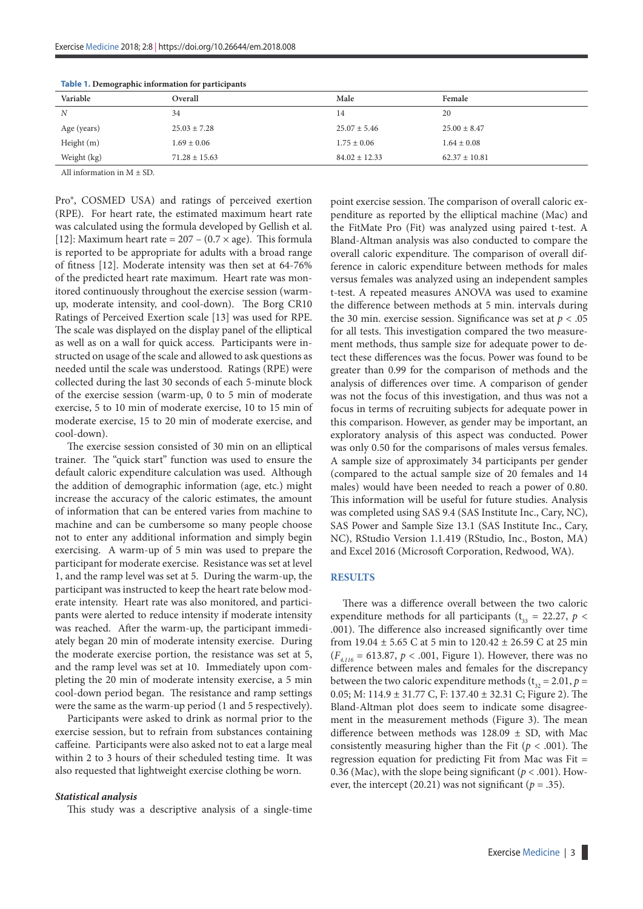| Variable         | Overall           | Male              | Female            |  |  |
|------------------|-------------------|-------------------|-------------------|--|--|
| $\boldsymbol{N}$ | 34                | 14                | 20                |  |  |
| Age (years)      | $25.03 \pm 7.28$  | $25.07 \pm 5.46$  | $25.00 \pm 8.47$  |  |  |
| Height $(m)$     | $1.69 \pm 0.06$   | $1.75 \pm 0.06$   | $1.64 \pm 0.08$   |  |  |
| Weight (kg)      | $71.28 \pm 15.63$ | $84.02 \pm 12.33$ | $62.37 \pm 10.81$ |  |  |

| Table 1. Demographic information for participants |  |  |
|---------------------------------------------------|--|--|
|                                                   |  |  |

All information in  $M + SD$ 

Pro®, COSMED USA) and ratings of perceived exertion (RPE). For heart rate, the estimated maximum heart rate was calculated using the formula developed by Gellish et al. [12]: Maximum heart rate =  $207 - (0.7 \times age)$ . This formula is reported to be appropriate for adults with a broad range of fitness [12]. Moderate intensity was then set at 64-76% of the predicted heart rate maximum. Heart rate was monitored continuously throughout the exercise session (warmup, moderate intensity, and cool-down). The Borg CR10 Ratings of Perceived Exertion scale [13] was used for RPE. The scale was displayed on the display panel of the elliptical as well as on a wall for quick access. Participants were instructed on usage of the scale and allowed to ask questions as needed until the scale was understood. Ratings (RPE) were collected during the last 30 seconds of each 5-minute block of the exercise session (warm-up, 0 to 5 min of moderate exercise, 5 to 10 min of moderate exercise, 10 to 15 min of moderate exercise, 15 to 20 min of moderate exercise, and cool-down).

The exercise session consisted of 30 min on an elliptical trainer. The "quick start" function was used to ensure the default caloric expenditure calculation was used. Although the addition of demographic information (age, etc.) might increase the accuracy of the caloric estimates, the amount of information that can be entered varies from machine to machine and can be cumbersome so many people choose not to enter any additional information and simply begin exercising. A warm-up of 5 min was used to prepare the participant for moderate exercise. Resistance was set at level 1, and the ramp level was set at 5. During the warm-up, the participant was instructed to keep the heart rate below moderate intensity. Heart rate was also monitored, and participants were alerted to reduce intensity if moderate intensity was reached. After the warm-up, the participant immediately began 20 min of moderate intensity exercise. During the moderate exercise portion, the resistance was set at 5, and the ramp level was set at 10. Immediately upon completing the 20 min of moderate intensity exercise, a 5 min cool-down period began. The resistance and ramp settings were the same as the warm-up period (1 and 5 respectively).

Participants were asked to drink as normal prior to the exercise session, but to refrain from substances containing caffeine. Participants were also asked not to eat a large meal within 2 to 3 hours of their scheduled testing time. It was also requested that lightweight exercise clothing be worn.

#### *Statistical analysis*

This study was a descriptive analysis of a single-time

point exercise session. The comparison of overall caloric expenditure as reported by the elliptical machine (Mac) and the FitMate Pro (Fit) was analyzed using paired t-test. A Bland-Altman analysis was also conducted to compare the overall caloric expenditure. The comparison of overall difference in caloric expenditure between methods for males versus females was analyzed using an independent samples t-test. A repeated measures ANOVA was used to examine the difference between methods at 5 min. intervals during the 30 min. exercise session. Significance was set at *p* < .05 for all tests. This investigation compared the two measurement methods, thus sample size for adequate power to detect these differences was the focus. Power was found to be greater than 0.99 for the comparison of methods and the analysis of differences over time. A comparison of gender was not the focus of this investigation, and thus was not a focus in terms of recruiting subjects for adequate power in this comparison. However, as gender may be important, an exploratory analysis of this aspect was conducted. Power was only 0.50 for the comparisons of males versus females. A sample size of approximately 34 participants per gender (compared to the actual sample size of 20 females and 14 males) would have been needed to reach a power of 0.80. This information will be useful for future studies. Analysis was completed using SAS 9.4 (SAS Institute Inc., Cary, NC), SAS Power and Sample Size 13.1 (SAS Institute Inc., Cary, NC), RStudio Version 1.1.419 (RStudio, Inc., Boston, MA) and Excel 2016 (Microsoft Corporation, Redwood, WA).

#### **RESULTS**

There was a difference overall between the two caloric expenditure methods for all participants ( $t_{33} = 22.27$ ,  $p <$ .001). The difference also increased significantly over time from 19.04 ± 5.65 C at 5 min to 120.42 ± 26.59 C at 25 min  $(F_{4,116} = 613.87, p < .001,$  Figure 1). However, there was no difference between males and females for the discrepancy between the two caloric expenditure methods ( $t_{32} = 2.01$ ,  $p =$ 0.05; M: 114.9 ± 31.77 C, F: 137.40 ± 32.31 C; Figure 2). The Bland-Altman plot does seem to indicate some disagreement in the measurement methods (Figure 3). The mean difference between methods was  $128.09 \pm SD$ , with Mac consistently measuring higher than the Fit ( $p < .001$ ). The regression equation for predicting Fit from Mac was Fit = 0.36 (Mac), with the slope being significant ( $p < .001$ ). However, the intercept  $(20.21)$  was not significant  $(p=.35)$ .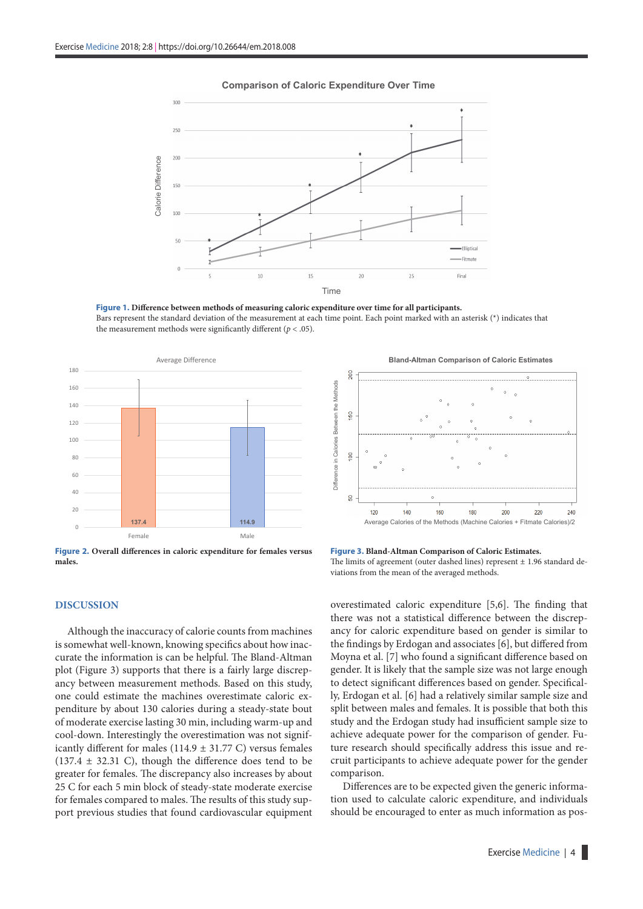

#### **Comparison of Caloric Expenditure Over Time**

**Figure 1. Difference between methods of measuring caloric expenditure over time for all participants.**  Bars represent the standard deviation of the measurement at each time point. Each point marked with an asterisk (\*) indicates that the measurement methods were significantly different  $(p < .05)$ .



**Figure 2. Overall differences in caloric expenditure for females versus males.**

#### **DISCUSSION**

Although the inaccuracy of calorie counts from machines is somewhat well-known, knowing specifics about how inaccurate the information is can be helpful. The Bland-Altman plot (Figure 3) supports that there is a fairly large discrepancy between measurement methods. Based on this study, one could estimate the machines overestimate caloric expenditure by about 130 calories during a steady-state bout of moderate exercise lasting 30 min, including warm-up and cool-down. Interestingly the overestimation was not significantly different for males (114.9  $\pm$  31.77 C) versus females  $(137.4 \pm 32.31)$  C), though the difference does tend to be greater for females. The discrepancy also increases by about 25 C for each 5 min block of steady-state moderate exercise for females compared to males. The results of this study support previous studies that found cardiovascular equipment

**Bland-Altman Comparison of Caloric Estimates**



**Figure 3. Bland-Altman Comparison of Caloric Estimates.** 

The limits of agreement (outer dashed lines) represent  $\pm$  1.96 standard deviations from the mean of the averaged methods.

overestimated caloric expenditure [5,6]. The finding that there was not a statistical difference between the discrepancy for caloric expenditure based on gender is similar to the findings by Erdogan and associates [6], but differed from Moyna et al. [7] who found a significant difference based on gender. It is likely that the sample size was not large enough to detect significant differences based on gender. Specifically, Erdogan et al. [6] had a relatively similar sample size and split between males and females. It is possible that both this study and the Erdogan study had insufficient sample size to achieve adequate power for the comparison of gender. Future research should specifically address this issue and recruit participants to achieve adequate power for the gender comparison.

Differences are to be expected given the generic information used to calculate caloric expenditure, and individuals should be encouraged to enter as much information as pos-